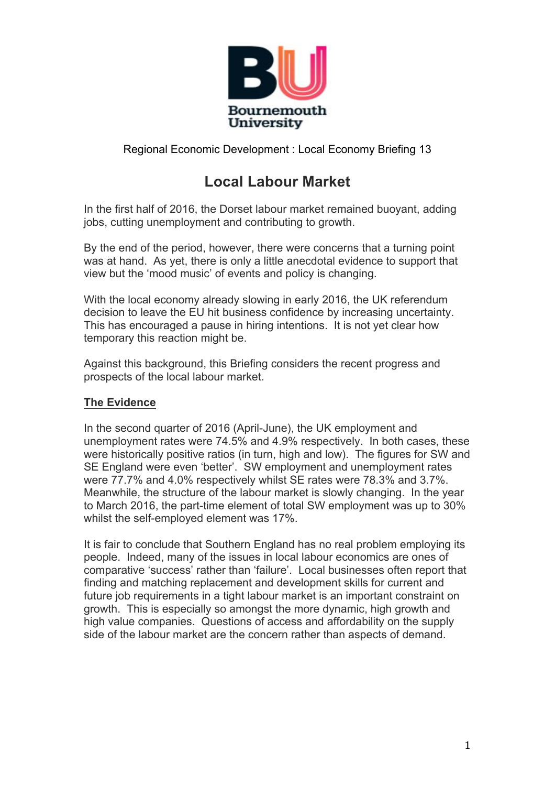

# **Local Labour Market**

In the first half of 2016, the Dorset labour market remained buoyant, adding jobs, cutting unemployment and contributing to growth.

By the end of the period, however, there were concerns that a turning point was at hand. As yet, there is only a little anecdotal evidence to support that view but the 'mood music' of events and policy is changing.

With the local economy already slowing in early 2016, the UK referendum decision to leave the EU hit business confidence by increasing uncertainty. This has encouraged a pause in hiring intentions. It is not yet clear how temporary this reaction might be.

Against this background, this Briefing considers the recent progress and prospects of the local labour market.

## **The Evidence**

In the second quarter of 2016 (April-June), the UK employment and unemployment rates were 74.5% and 4.9% respectively. In both cases, these were historically positive ratios (in turn, high and low). The figures for SW and SE England were even 'better'. SW employment and unemployment rates were 77.7% and 4.0% respectively whilst SE rates were 78.3% and 3.7%. Meanwhile, the structure of the labour market is slowly changing. In the year to March 2016, the part-time element of total SW employment was up to 30% whilst the self-employed element was 17%.

It is fair to conclude that Southern England has no real problem employing its people. Indeed, many of the issues in local labour economics are ones of comparative 'success' rather than 'failure'. Local businesses often report that finding and matching replacement and development skills for current and future job requirements in a tight labour market is an important constraint on growth. This is especially so amongst the more dynamic, high growth and high value companies. Questions of access and affordability on the supply side of the labour market are the concern rather than aspects of demand.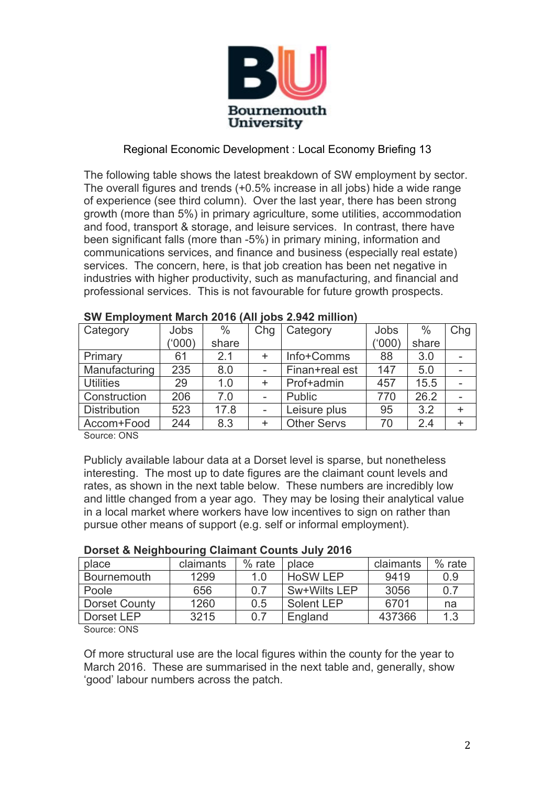

The following table shows the latest breakdown of SW employment by sector. The overall figures and trends (+0.5% increase in all jobs) hide a wide range of experience (see third column). Over the last year, there has been strong growth (more than 5%) in primary agriculture, some utilities, accommodation and food, transport & storage, and leisure services. In contrast, there have been significant falls (more than -5%) in primary mining, information and communications services, and finance and business (especially real estate) services. The concern, here, is that job creation has been net negative in industries with higher productivity, such as manufacturing, and financial and professional services. This is not favourable for future growth prospects.

| Category            | Jobs   | $\%$  | Chg | Category           | Jobs   | $\%$  | Chg       |
|---------------------|--------|-------|-----|--------------------|--------|-------|-----------|
|                     | ('000) | share |     |                    | (,000, | share |           |
| Primary             | 61     | 2.1   |     | Info+Comms         | 88     | 3.0   |           |
| Manufacturing       | 235    | 8.0   |     | Finan+real est     | 147    | 5.0   |           |
| <b>Utilities</b>    | 29     | 1.0   | ÷   | Prof+admin         | 457    | 15.5  |           |
| Construction        | 206    | 7.0   |     | Public             | 770    | 26.2  |           |
| <b>Distribution</b> | 523    | 17.8  |     | Leisure plus       | 95     | 3.2   | $\ddot{}$ |
| Accom+Food          | 244    | 8.3   | ÷   | <b>Other Servs</b> | 70     | 2.4   | $\ddot{}$ |
|                     |        |       |     |                    |        |       |           |

#### **SW Employment March 2016 (All jobs 2.942 million)**

Source: ONS

Publicly available labour data at a Dorset level is sparse, but nonetheless interesting. The most up to date figures are the claimant count levels and rates, as shown in the next table below. These numbers are incredibly low and little changed from a year ago. They may be losing their analytical value in a local market where workers have low incentives to sign on rather than pursue other means of support (e.g. self or informal employment).

#### **Dorset & Neighbouring Claimant Counts July 2016**

| claimants | $%$ rate | place           | claimants | $%$ rate |
|-----------|----------|-----------------|-----------|----------|
| 1299      | 1.0      | <b>HoSW LEP</b> | 9419      | 0.9      |
| 656       | 0.7      | Sw+Wilts LEP    | 3056      | 0.7      |
| 1260      | 0.5      | Solent LEP      | 6701      | na       |
| 3215      | 0.7      | England         | 437366    | 1.3      |
|           |          |                 |           |          |

Source: ONS

Of more structural use are the local figures within the county for the year to March 2016. These are summarised in the next table and, generally, show 'good' labour numbers across the patch.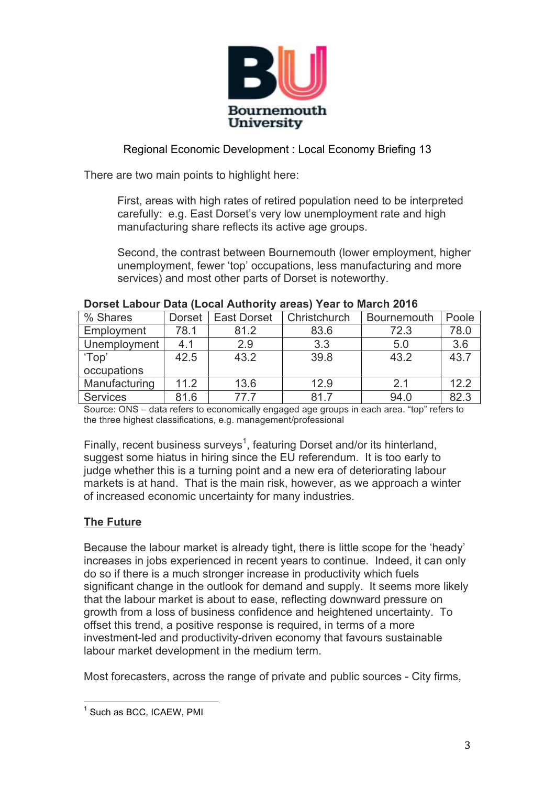

There are two main points to highlight here:

First, areas with high rates of retired population need to be interpreted carefully: e.g. East Dorset's very low unemployment rate and high manufacturing share reflects its active age groups.

Second, the contrast between Bournemouth (lower employment, higher unemployment, fewer 'top' occupations, less manufacturing and more services) and most other parts of Dorset is noteworthy.

| % Shares        | <b>Dorset</b> | <b>East Dorset</b> | Christchurch | <b>Bournemouth</b> | Poole |
|-----------------|---------------|--------------------|--------------|--------------------|-------|
| Employment      | 78.1          | 81.2               | 83.6         | 72.3               | 78.0  |
| Unemployment    | 4.1           | 2.9                | 3.3          | 5.0                | 3.6   |
| 'Top'           | 42.5          | 43.2               | 39.8         | 43.2               | 43.7  |
| occupations     |               |                    |              |                    |       |
| Manufacturing   | 11.2          | 13.6               | 12.9         | 2.1                | 12.2  |
| <b>Services</b> | 81.6          | 77 7               | 817          | 94.0               | 82.3  |

#### **Dorset Labour Data (Local Authority areas) Year to March 2016**

Source: ONS – data refers to economically engaged age groups in each area. "top" refers to the three highest classifications, e.g. management/professional

Finally, recent business surveys<sup>1</sup>, featuring Dorset and/or its hinterland, suggest some hiatus in hiring since the EU referendum. It is too early to judge whether this is a turning point and a new era of deteriorating labour markets is at hand. That is the main risk, however, as we approach a winter of increased economic uncertainty for many industries.

# **The Future**

Because the labour market is already tight, there is little scope for the 'heady' increases in jobs experienced in recent years to continue. Indeed, it can only do so if there is a much stronger increase in productivity which fuels significant change in the outlook for demand and supply. It seems more likely that the labour market is about to ease, reflecting downward pressure on growth from a loss of business confidence and heightened uncertainty. To offset this trend, a positive response is required, in terms of a more investment-led and productivity-driven economy that favours sustainable labour market development in the medium term.

Most forecasters, across the range of private and public sources - City firms,

<sup>&</sup>lt;sup>1</sup> Such as BCC, ICAEW, PMI